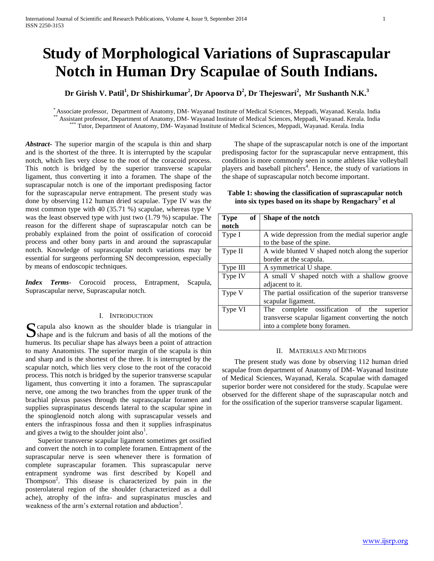# **Study of Morphological Variations of Suprascapular Notch in Human Dry Scapulae of South Indians.**

## **Dr Girish V. Patil<sup>1</sup> , Dr Shishirkumar<sup>2</sup> , Dr Apoorva D<sup>2</sup> , Dr Thejeswari<sup>2</sup> , Mr Sushanth N.K.<sup>3</sup>**

\* Associate professor, Department of Anatomy, DM- Wayanad Institute of Medical Sciences, Meppadi, Wayanad. Kerala. India \*\* Assistant professor, Department of Anatomy, DM- Wayanad Institute of Medical Sciences, Meppadi, Wayanad. Kerala. India Tutor, Department of Anatomy, DM- Wayanad Institute of Medical Sciences, Meppadi, Wayanad. Kerala. India

*Abstract***-** The superior margin of the scapula is thin and sharp and is the shortest of the three. It is interrupted by the scapular notch, which lies very close to the root of the coracoid process. This notch is bridged by the superior transverse scapular ligament, thus converting it into a foramen. The shape of the suprascapular notch is one of the important predisposing factor for the suprascapular nerve entrapment. The present study was done by observing 112 human dried scapulae. Type IV was the most common type with 40 (35.71 %) scapulae, whereas type V was the least observed type with just two (1.79 %) scapulae. The reason for the different shape of suprascapular notch can be probably explained from the point of ossification of corocoid process and other bony parts in and around the suprascapular notch. Knowledge of suprascapular notch variations may be essential for surgeons performing SN decompression, especially by means of endoscopic techniques.

*Index Terms*- Corocoid process, Entrapment, Scapula, Suprascapular nerve, Suprascapular notch.

#### I. INTRODUCTION

S capula also known as the shoulder blade is triangular in Shape and is the fulcrum and basis of all the motions of the  $\sum$  shape and is the fulcrum and basis of all the motions of the humerus. Its peculiar shape has always been a point of attraction to many Anatomists. The superior margin of the scapula is thin and sharp and is the shortest of the three. It is interrupted by the scapular notch, which lies very close to the root of the coracoid process. This notch is bridged by the superior transverse scapular ligament, thus converting it into a foramen. The suprascapular nerve, one among the two branches from the upper trunk of the brachial plexus passes through the suprascapular foramen and supplies supraspinatus descends lateral to the scapular spine in the spinoglenoid notch along with suprascapular vessels and enters the infraspinous fossa and then it supplies infraspinatus and gives a twig to the shoulder joint also<sup>1</sup>.

 Superior transverse scapular ligament sometimes get ossified and convert the notch in to complete foramen. Entrapment of the suprascapular nerve is seen whenever there is formation of complete suprascapular foramen. This suprascapular nerve entrapment syndrome was first described by Kopell and Thompson<sup>2</sup>. This disease is characterized by pain in the posterolateral region of the shoulder (characterized as a dull ache), atrophy of the infra- and supraspinatus muscles and weakness of the arm's external rotation and abduction<sup>3</sup>.

 The shape of the suprascapular notch is one of the important predisposing factor for the suprascapular nerve entrapment, this condition is more commonly seen in some athletes like volleyball players and baseball pitchers<sup>4</sup>. Hence, the study of variations in the shape of suprascapular notch become important.

| Table 1: showing the classification of suprascapular notch         |  |
|--------------------------------------------------------------------|--|
| into six types based on its shape by Rengachary <sup>5</sup> et al |  |

| of<br><b>Type</b> | Shape of the notch                                  |  |  |  |
|-------------------|-----------------------------------------------------|--|--|--|
| notch             |                                                     |  |  |  |
| Type I            | A wide depression from the medial superior angle    |  |  |  |
|                   | to the base of the spine.                           |  |  |  |
| Type II           | A wide blunted V shaped notch along the superior    |  |  |  |
|                   | border at the scapula.                              |  |  |  |
| Type III          | A symmetrical U shape.                              |  |  |  |
| Type IV           | A small V shaped notch with a shallow groove        |  |  |  |
|                   | adjacent to it.                                     |  |  |  |
| Type V            | The partial ossification of the superior transverse |  |  |  |
|                   | scapular ligament.                                  |  |  |  |
| Type VI           | complete ossification of the<br>superior<br>The     |  |  |  |
|                   | transverse scapular ligament converting the notch   |  |  |  |
|                   | into a complete bony foramen.                       |  |  |  |

#### II. MATERIALS AND METHODS

 The present study was done by observing 112 human dried scapulae from department of Anatomy of DM- Wayanad Institute of Medical Sciences, Wayanad, Kerala. Scapulae with damaged superior border were not considered for the study. Scapulae were observed for the different shape of the suprascapular notch and for the ossification of the superior transverse scapular ligament.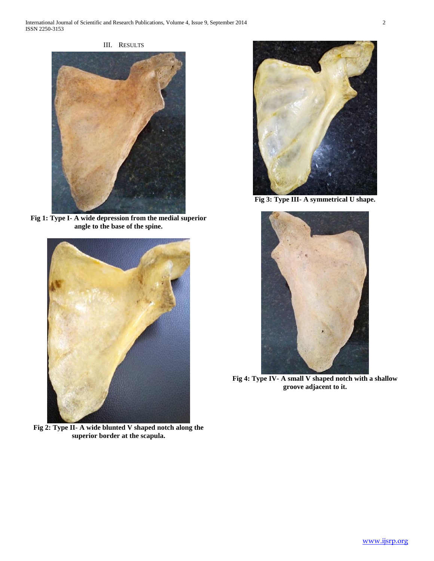



**Fig 1: Type I- A wide depression from the medial superior angle to the base of the spine.**



**Fig 2: Type II- A wide blunted V shaped notch along the superior border at the scapula.**



**Fig 3: Type III- A symmetrical U shape.**



**Fig 4: Type IV- A small V shaped notch with a shallow groove adjacent to it.**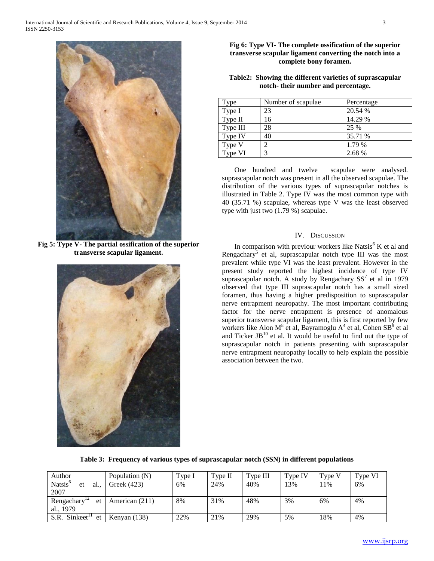

**Fig 5: Type V- The partial ossification of the superior transverse scapular ligament.**



## **Fig 6: Type VI- The complete ossification of the superior transverse scapular ligament converting the notch into a complete bony foramen.**

## **Table2: Showing the different varieties of suprascapular notch- their number and percentage.**

| Type     | Number of scapulae. | Percentage |
|----------|---------------------|------------|
| Type I   | 23                  | 20.54 %    |
| Type II  | 16                  | 14.29 %    |
| Type III | 28                  | 25 %       |
| Type IV  | 40                  | 35.71 %    |
| Type V   |                     | 1.79 %     |
| Type VI  | 3                   | 2.68 %     |

 One hundred and twelve scapulae were analysed. suprascapular notch was present in all the observed scapulae. The distribution of the various types of suprascapular notches is illustrated in Table 2. Type IV was the most common type with 40 (35.71 %) scapulae, whereas type V was the least observed type with just two (1.79 %) scapulae.

### IV. DISCUSSION

In comparison with previour workers like Natsis<sup>6</sup> K et al and Rengachary<sup>5</sup> et al, suprascapular notch type III was the most prevalent while type VI was the least prevalent. However in the present study reported the highest incidence of type IV suprascapular notch. A study by Rengachary  $SS^7$  et al in 1979 observed that type III suprascapular notch has a small sized foramen, thus having a higher predisposition to suprascapular nerve entrapment neuropathy. The most important contributing factor for the nerve entrapment is presence of anomalous superior transverse scapular ligament, this is first reported by few workers like Alon M<sup>8</sup> et al, Bayramoglu A<sup>4</sup> et al, Cohen SB<sup>9</sup> et al and Ticker  $JB^{10}$  et al. It would be useful to find out the type of suprascapular notch in patients presenting with suprascapular nerve entrapment neuropathy locally to help explain the possible association between the two.

|  |  |  |  |  | Table 3: Frequency of various types of suprascapular notch (SSN) in different populations |
|--|--|--|--|--|-------------------------------------------------------------------------------------------|
|--|--|--|--|--|-------------------------------------------------------------------------------------------|

| Author                                    | Population (N) | Type 1 | Type II | Type III | Type IV | $Type \setminus$ | Type VI |
|-------------------------------------------|----------------|--------|---------|----------|---------|------------------|---------|
| Natsis <sup>6</sup><br>al.,<br>et         | Greek (423)    | 6%     | 24%     | 40%      | 13%     | 11%              | 6%      |
| 2007                                      |                |        |         |          |         |                  |         |
| Rengachary <sup>12</sup><br><sub>et</sub> | American (211) | 8%     | 31%     | 48%      | 3%      | 6%               | 4%      |
| al., 1979                                 |                |        |         |          |         |                  |         |
| S.R. Sinkeet <sup>11</sup><br>et          | Kenyan $(138)$ | 22%    | 21%     | 29%      | 5%      | 18%              | 4%      |